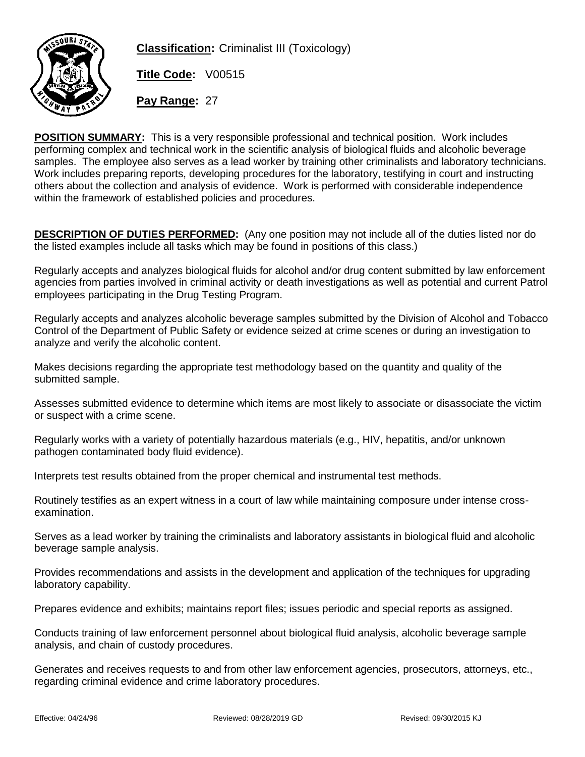

**Classification:** Criminalist III (Toxicology)

**Title Code:** V00515

**Pay Range:** 27

**POSITION SUMMARY:** This is a very responsible professional and technical position. Work includes performing complex and technical work in the scientific analysis of biological fluids and alcoholic beverage samples. The employee also serves as a lead worker by training other criminalists and laboratory technicians. Work includes preparing reports, developing procedures for the laboratory, testifying in court and instructing others about the collection and analysis of evidence. Work is performed with considerable independence within the framework of established policies and procedures.

**DESCRIPTION OF DUTIES PERFORMED:** (Any one position may not include all of the duties listed nor do the listed examples include all tasks which may be found in positions of this class.)

Regularly accepts and analyzes biological fluids for alcohol and/or drug content submitted by law enforcement agencies from parties involved in criminal activity or death investigations as well as potential and current Patrol employees participating in the Drug Testing Program.

Regularly accepts and analyzes alcoholic beverage samples submitted by the Division of Alcohol and Tobacco Control of the Department of Public Safety or evidence seized at crime scenes or during an investigation to analyze and verify the alcoholic content.

Makes decisions regarding the appropriate test methodology based on the quantity and quality of the submitted sample.

Assesses submitted evidence to determine which items are most likely to associate or disassociate the victim or suspect with a crime scene.

Regularly works with a variety of potentially hazardous materials (e.g., HIV, hepatitis, and/or unknown pathogen contaminated body fluid evidence).

Interprets test results obtained from the proper chemical and instrumental test methods.

Routinely testifies as an expert witness in a court of law while maintaining composure under intense crossexamination.

Serves as a lead worker by training the criminalists and laboratory assistants in biological fluid and alcoholic beverage sample analysis.

Provides recommendations and assists in the development and application of the techniques for upgrading laboratory capability.

Prepares evidence and exhibits; maintains report files; issues periodic and special reports as assigned.

Conducts training of law enforcement personnel about biological fluid analysis, alcoholic beverage sample analysis, and chain of custody procedures.

Generates and receives requests to and from other law enforcement agencies, prosecutors, attorneys, etc., regarding criminal evidence and crime laboratory procedures.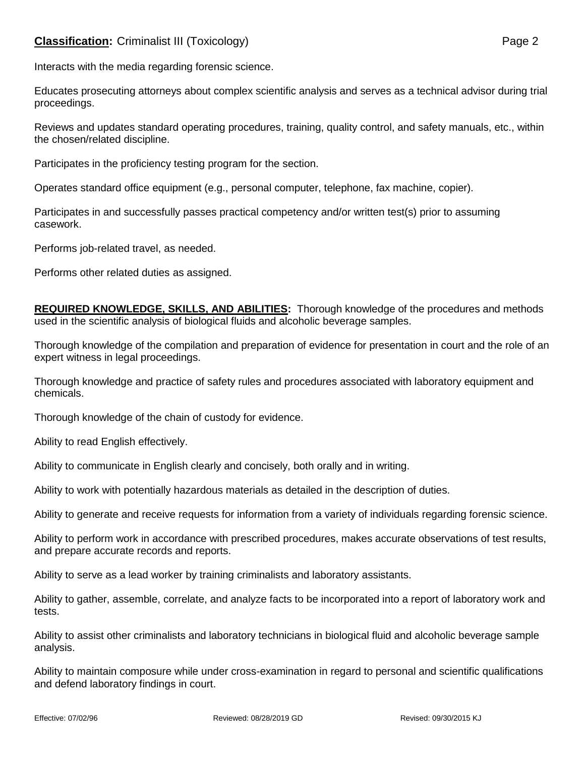## **Classification:** Criminalist III (Toxicology) **Page 2** Page 2

Interacts with the media regarding forensic science.

Educates prosecuting attorneys about complex scientific analysis and serves as a technical advisor during trial proceedings.

Reviews and updates standard operating procedures, training, quality control, and safety manuals, etc., within the chosen/related discipline.

Participates in the proficiency testing program for the section.

Operates standard office equipment (e.g., personal computer, telephone, fax machine, copier).

Participates in and successfully passes practical competency and/or written test(s) prior to assuming casework.

Performs job-related travel, as needed.

Performs other related duties as assigned.

**REQUIRED KNOWLEDGE, SKILLS, AND ABILITIES:** Thorough knowledge of the procedures and methods used in the scientific analysis of biological fluids and alcoholic beverage samples.

Thorough knowledge of the compilation and preparation of evidence for presentation in court and the role of an expert witness in legal proceedings.

Thorough knowledge and practice of safety rules and procedures associated with laboratory equipment and chemicals.

Thorough knowledge of the chain of custody for evidence.

Ability to read English effectively.

Ability to communicate in English clearly and concisely, both orally and in writing.

Ability to work with potentially hazardous materials as detailed in the description of duties.

Ability to generate and receive requests for information from a variety of individuals regarding forensic science.

Ability to perform work in accordance with prescribed procedures, makes accurate observations of test results, and prepare accurate records and reports.

Ability to serve as a lead worker by training criminalists and laboratory assistants.

Ability to gather, assemble, correlate, and analyze facts to be incorporated into a report of laboratory work and tests.

Ability to assist other criminalists and laboratory technicians in biological fluid and alcoholic beverage sample analysis.

Ability to maintain composure while under cross-examination in regard to personal and scientific qualifications and defend laboratory findings in court.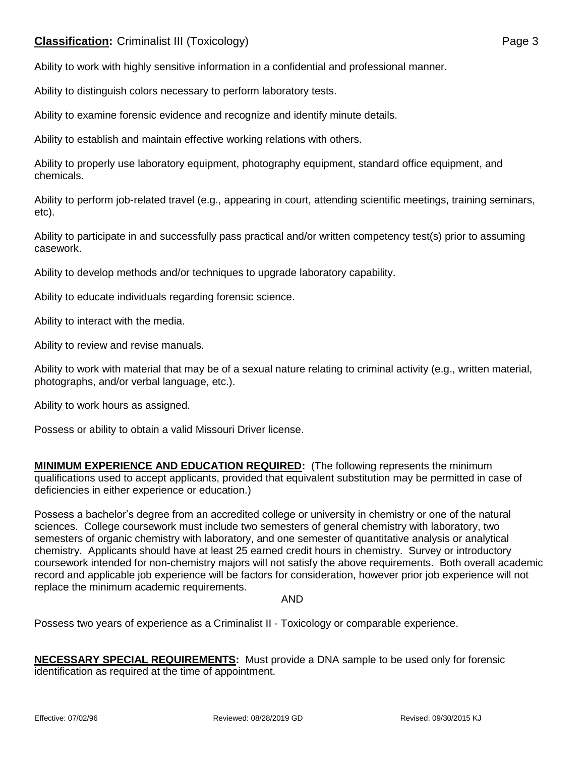## **Classification:** Criminalist III (Toxicology) **Page 3**

Ability to work with highly sensitive information in a confidential and professional manner.

Ability to distinguish colors necessary to perform laboratory tests.

Ability to examine forensic evidence and recognize and identify minute details.

Ability to establish and maintain effective working relations with others.

Ability to properly use laboratory equipment, photography equipment, standard office equipment, and chemicals.

Ability to perform job-related travel (e.g., appearing in court, attending scientific meetings, training seminars, etc).

Ability to participate in and successfully pass practical and/or written competency test(s) prior to assuming casework.

Ability to develop methods and/or techniques to upgrade laboratory capability.

Ability to educate individuals regarding forensic science.

Ability to interact with the media.

Ability to review and revise manuals.

Ability to work with material that may be of a sexual nature relating to criminal activity (e.g., written material, photographs, and/or verbal language, etc.).

Ability to work hours as assigned.

Possess or ability to obtain a valid Missouri Driver license.

**MINIMUM EXPERIENCE AND EDUCATION REQUIRED:** (The following represents the minimum qualifications used to accept applicants, provided that equivalent substitution may be permitted in case of deficiencies in either experience or education.)

Possess a bachelor's degree from an accredited college or university in chemistry or one of the natural sciences. College coursework must include two semesters of general chemistry with laboratory, two semesters of organic chemistry with laboratory, and one semester of quantitative analysis or analytical chemistry. Applicants should have at least 25 earned credit hours in chemistry. Survey or introductory coursework intended for non-chemistry majors will not satisfy the above requirements. Both overall academic record and applicable job experience will be factors for consideration, however prior job experience will not replace the minimum academic requirements.

AND

Possess two years of experience as a Criminalist II - Toxicology or comparable experience.

**NECESSARY SPECIAL REQUIREMENTS:** Must provide a DNA sample to be used only for forensic identification as required at the time of appointment.